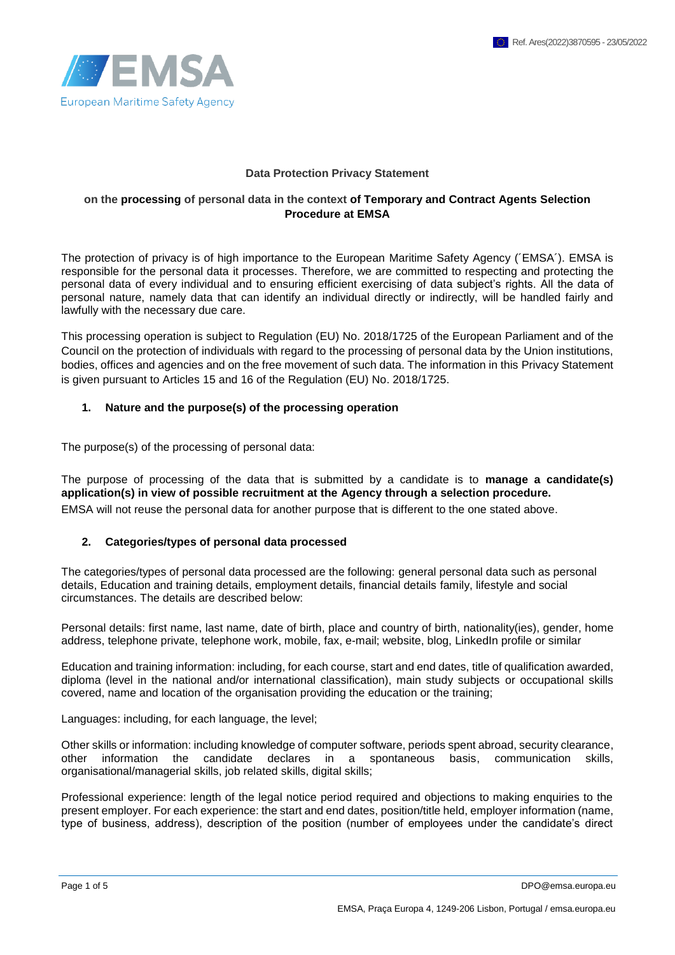

#### **Data Protection Privacy Statement**

#### **on the processing of personal data in the context of Temporary and Contract Agents Selection Procedure at EMSA**

The protection of privacy is of high importance to the European Maritime Safety Agency (´EMSA´). EMSA is responsible for the personal data it processes. Therefore, we are committed to respecting and protecting the personal data of every individual and to ensuring efficient exercising of data subject's rights. All the data of personal nature, namely data that can identify an individual directly or indirectly, will be handled fairly and lawfully with the necessary due care.

This processing operation is subject to Regulation (EU) No. 2018/1725 of the European Parliament and of the Council on the protection of individuals with regard to the processing of personal data by the Union institutions, bodies, offices and agencies and on the free movement of such data. The information in this Privacy Statement is given pursuant to Articles 15 and 16 of the Regulation (EU) No. 2018/1725.

### **1. Nature and the purpose(s) of the processing operation**

The purpose(s) of the processing of personal data:

The purpose of processing of the data that is submitted by a candidate is to **manage a candidate(s) application(s) in view of possible recruitment at the Agency through a selection procedure.** EMSA will not reuse the personal data for another purpose that is different to the one stated above.

### **2. Categories/types of personal data processed**

The categories/types of personal data processed are the following: general personal data such as personal details, Education and training details, employment details, financial details family, lifestyle and social circumstances. The details are described below:

Personal details: first name, last name, date of birth, place and country of birth, nationality(ies), gender, home address, telephone private, telephone work, mobile, fax, e-mail; website, blog, LinkedIn profile or similar

Education and training information: including, for each course, start and end dates, title of qualification awarded, diploma (level in the national and/or international classification), main study subjects or occupational skills covered, name and location of the organisation providing the education or the training;

Languages: including, for each language, the level;

Other skills or information: including knowledge of computer software, periods spent abroad, security clearance, other information the candidate declares in a spontaneous basis, communication skills, organisational/managerial skills, job related skills, digital skills;

Professional experience: length of the legal notice period required and objections to making enquiries to the present employer. For each experience: the start and end dates, position/title held, employer information (name, type of business, address), description of the position (number of employees under the candidate's direct

Page 1 of 5 DPO@emsa.europa.eu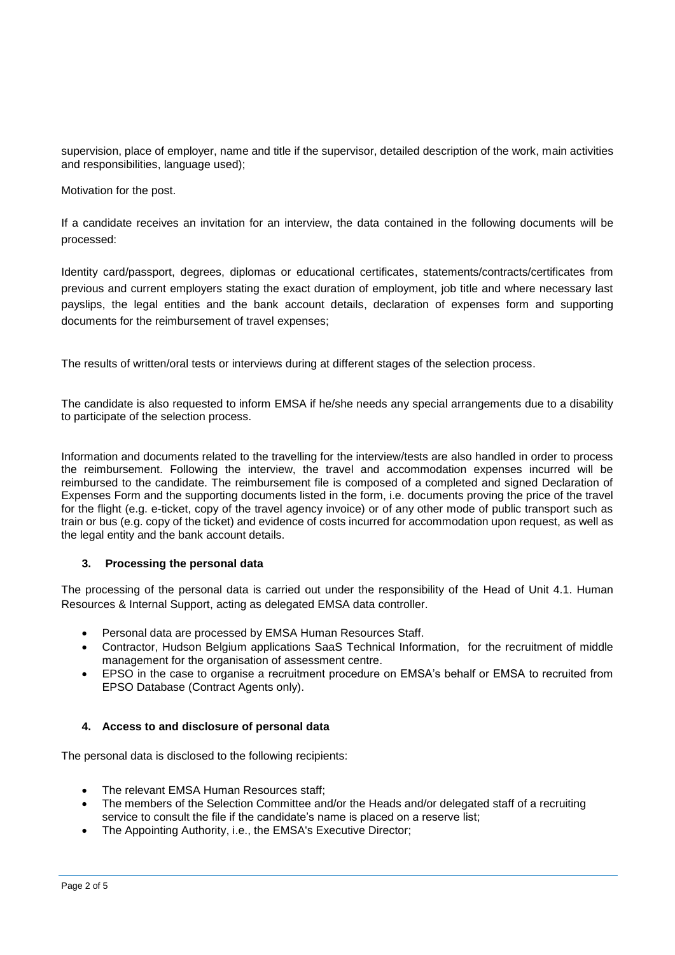supervision, place of employer, name and title if the supervisor, detailed description of the work, main activities and responsibilities, language used);

Motivation for the post.

If a candidate receives an invitation for an interview, the data contained in the following documents will be processed:

Identity card/passport, degrees, diplomas or educational certificates, statements/contracts/certificates from previous and current employers stating the exact duration of employment, job title and where necessary last payslips, the legal entities and the bank account details, declaration of expenses form and supporting documents for the reimbursement of travel expenses;

The results of written/oral tests or interviews during at different stages of the selection process.

The candidate is also requested to inform EMSA if he/she needs any special arrangements due to a disability to participate of the selection process.

Information and documents related to the travelling for the interview/tests are also handled in order to process the reimbursement. Following the interview, the travel and accommodation expenses incurred will be reimbursed to the candidate. The reimbursement file is composed of a completed and signed Declaration of Expenses Form and the supporting documents listed in the form, i.e. documents proving the price of the travel for the flight (e.g. e-ticket, copy of the travel agency invoice) or of any other mode of public transport such as train or bus (e.g. copy of the ticket) and evidence of costs incurred for accommodation upon request, as well as the legal entity and the bank account details.

### **3. Processing the personal data**

The processing of the personal data is carried out under the responsibility of the Head of Unit 4.1. Human Resources & Internal Support, acting as delegated EMSA data controller.

- Personal data are processed by EMSA Human Resources Staff.
- Contractor, Hudson Belgium applications SaaS Technical Information, for the recruitment of middle management for the organisation of assessment centre.
- EPSO in the case to organise a recruitment procedure on EMSA's behalf or EMSA to recruited from EPSO Database (Contract Agents only).

### **4. Access to and disclosure of personal data**

The personal data is disclosed to the following recipients:

- The relevant EMSA Human Resources staff;
- The members of the Selection Committee and/or the Heads and/or delegated staff of a recruiting service to consult the file if the candidate's name is placed on a reserve list;
- The Appointing Authority, i.e., the EMSA's Executive Director: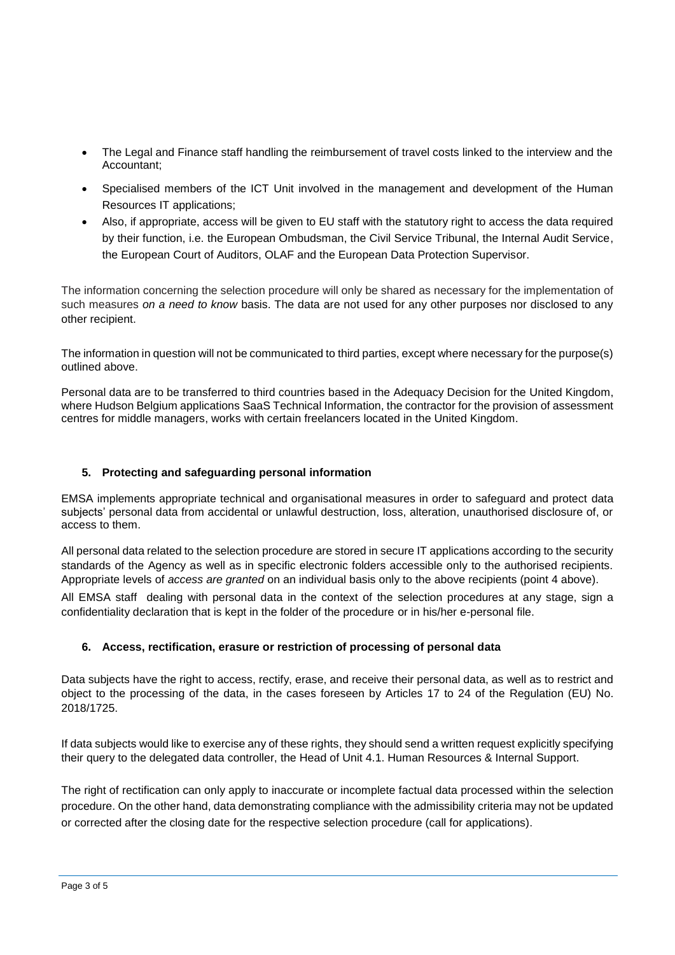- The Legal and Finance staff handling the reimbursement of travel costs linked to the interview and the Accountant;
- Specialised members of the ICT Unit involved in the management and development of the Human Resources IT applications;
- Also, if appropriate, access will be given to EU staff with the statutory right to access the data required by their function, i.e. the European Ombudsman, the Civil Service Tribunal, the Internal Audit Service, the European Court of Auditors, OLAF and the European Data Protection Supervisor.

The information concerning the selection procedure will only be shared as necessary for the implementation of such measures *on a need to know* basis. The data are not used for any other purposes nor disclosed to any other recipient.

The information in question will not be communicated to third parties, except where necessary for the purpose(s) outlined above.

Personal data are to be transferred to third countries based in the Adequacy Decision for the United Kingdom, where Hudson Belgium applications SaaS Technical Information, the contractor for the provision of assessment centres for middle managers, works with certain freelancers located in the United Kingdom.

# **5. Protecting and safeguarding personal information**

EMSA implements appropriate technical and organisational measures in order to safeguard and protect data subjects' personal data from accidental or unlawful destruction, loss, alteration, unauthorised disclosure of, or access to them.

All personal data related to the selection procedure are stored in secure IT applications according to the security standards of the Agency as well as in specific electronic folders accessible only to the authorised recipients. Appropriate levels of *access are granted* on an individual basis only to the above recipients (point 4 above).

All EMSA staff dealing with personal data in the context of the selection procedures at any stage, sign a confidentiality declaration that is kept in the folder of the procedure or in his/her e-personal file.

# **6. Access, rectification, erasure or restriction of processing of personal data**

Data subjects have the right to access, rectify, erase, and receive their personal data, as well as to restrict and object to the processing of the data, in the cases foreseen by Articles 17 to 24 of the Regulation (EU) No. 2018/1725.

If data subjects would like to exercise any of these rights, they should send a written request explicitly specifying their query to the delegated data controller, the Head of Unit 4.1. Human Resources & Internal Support.

The right of rectification can only apply to inaccurate or incomplete factual data processed within the selection procedure. On the other hand, data demonstrating compliance with the admissibility criteria may not be updated or corrected after the closing date for the respective selection procedure (call for applications).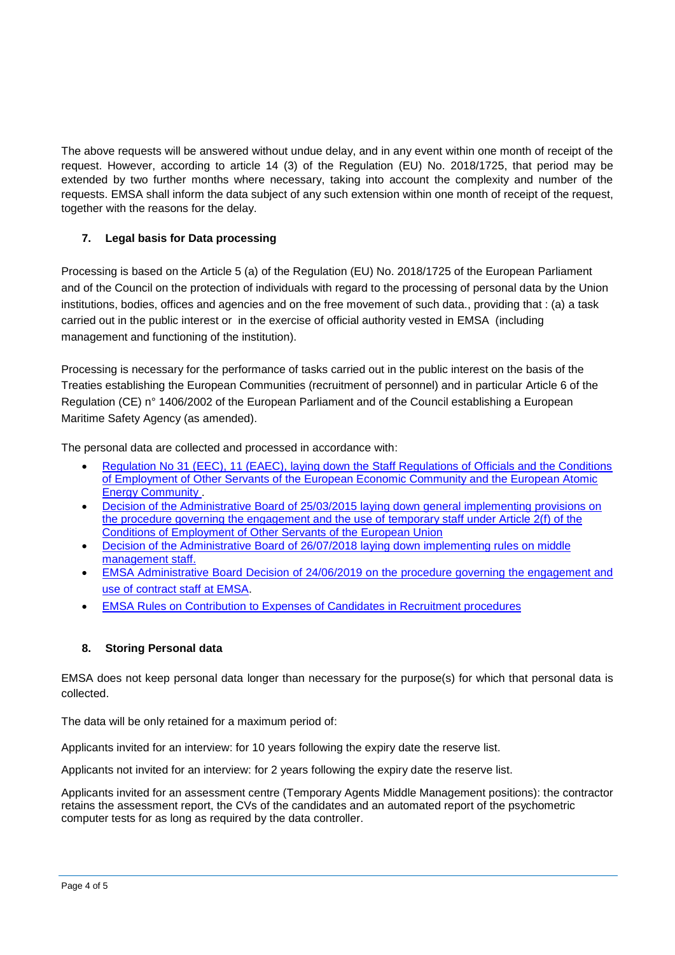The above requests will be answered without undue delay, and in any event within one month of receipt of the request. However, according to article 14 (3) of the Regulation (EU) No. 2018/1725, that period may be extended by two further months where necessary, taking into account the complexity and number of the requests. EMSA shall inform the data subject of any such extension within one month of receipt of the request, together with the reasons for the delay.

# **7. Legal basis for Data processing**

Processing is based on the Article 5 (a) of the Regulation (EU) No. 2018/1725 of the European Parliament and of the Council on the protection of individuals with regard to the processing of personal data by the Union institutions, bodies, offices and agencies and on the free movement of such data., providing that : (a) a task carried out in the public interest or in the exercise of official authority vested in EMSA (including management and functioning of the institution).

Processing is necessary for the performance of tasks carried out in the public interest on the basis of the Treaties establishing the European Communities (recruitment of personnel) and in particular Article 6 of the Regulation (CE) n° 1406/2002 of the European Parliament and of the Council establishing a European Maritime Safety Agency (as amended).

The personal data are collected and processed in accordance with:

- [Regulation No 31 \(EEC\), 11 \(EAEC\), laying down the Staff Regulations of Officials and the Conditions](http://emsa.europa.eu/recruitment-info/temporary-agents/weblink/21/612/1.html)  [of Employment of Other Servants of the European Economic Community and the European Atomic](http://emsa.europa.eu/recruitment-info/temporary-agents/weblink/21/612/1.html)  [Energy Community .](http://emsa.europa.eu/recruitment-info/temporary-agents/weblink/21/612/1.html)
- [Decision of the Administrative Board of 25/03/2015 laying down general implementing provisions on](http://emsa.europa.eu/recruitment-info/temporary-agents/download/4801/612/23.html)  [the procedure governing the engagement and the use of temporary staff under Article 2\(f\) of the](http://emsa.europa.eu/recruitment-info/temporary-agents/download/4801/612/23.html)  [Conditions of Employment of Other Servants of the European Union](http://emsa.europa.eu/recruitment-info/temporary-agents/download/4801/612/23.html)
- Decision of the Administrative Board of 26/07/2018 [laying down implementing rules on middle](http://emsanet/index.php/intranet-documents/a-1-1-human-resources-internal-support/rules-and-legislation/8097-ab-decision-middle-management-staff/file.html)  [management staff.](http://emsanet/index.php/intranet-documents/a-1-1-human-resources-internal-support/rules-and-legislation/8097-ab-decision-middle-management-staff/file.html)
- [EMSA Administrative Board Decision of 24/06/2019 on the procedure governing the engagement and](http://emsa.europa.eu/recruitment-info/contract-agents/download/5844/611/23.html)  [use of contract staff at EMSA.](http://emsa.europa.eu/recruitment-info/contract-agents/download/5844/611/23.html)
- [EMSA Rules on Contribution to Expenses of Candidates in Recruitment procedures](http://emsa.europa.eu/work/jobs/items.html?cid=83&id=3671)

# **8. Storing Personal data**

EMSA does not keep personal data longer than necessary for the purpose(s) for which that personal data is collected.

The data will be only retained for a maximum period of:

Applicants invited for an interview: for 10 years following the expiry date the reserve list.

Applicants not invited for an interview: for 2 years following the expiry date the reserve list.

Applicants invited for an assessment centre (Temporary Agents Middle Management positions): the contractor retains the assessment report, the CVs of the candidates and an automated report of the psychometric computer tests for as long as required by the data controller.